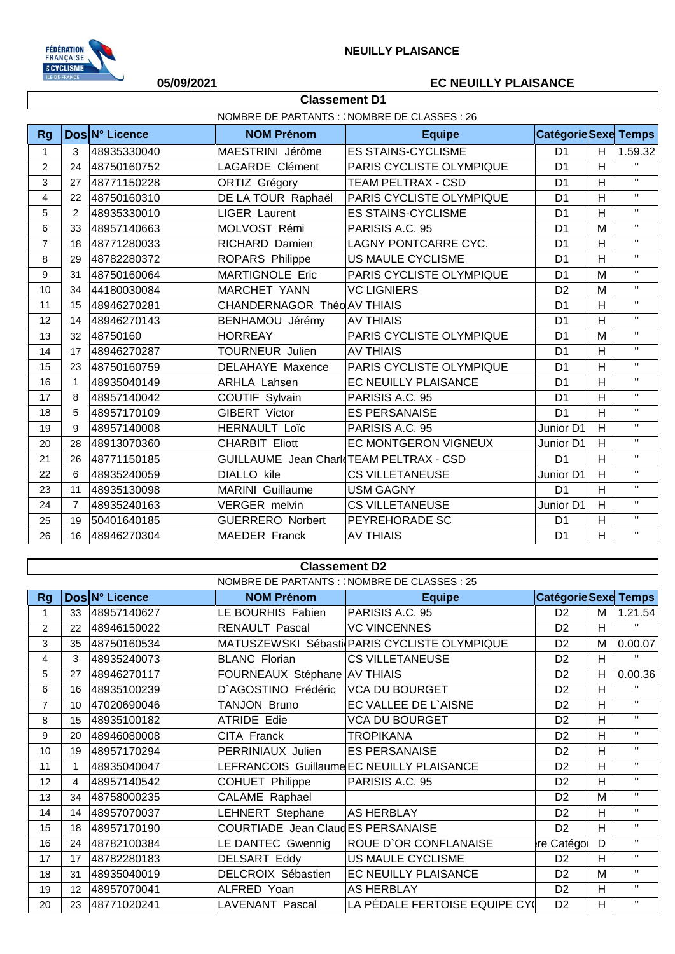

## **05/09/2021 EC NEUILLY PLAISANCE**

 $\overline{1}$ 

|                | <b>Classement D1</b>                         |                |                                         |                                 |                            |                |              |  |
|----------------|----------------------------------------------|----------------|-----------------------------------------|---------------------------------|----------------------------|----------------|--------------|--|
|                | NOMBRE DE PARTANTS : (NOMBRE DE CLASSES : 26 |                |                                         |                                 |                            |                |              |  |
| <b>Rg</b>      |                                              | Dos N° Licence | <b>NOM Prénom</b>                       | <b>Equipe</b>                   | <b>CatégorieSexe Temps</b> |                |              |  |
| $\mathbf{1}$   | 3                                            | 48935330040    | MAESTRINI Jérôme                        | <b>ES STAINS-CYCLISME</b>       | D <sub>1</sub>             | H              | 1.59.32      |  |
| 2              | 24                                           | 48750160752    | LAGARDE Clément                         | <b>PARIS CYCLISTE OLYMPIQUE</b> | D <sub>1</sub>             | H              | $\mathbf{H}$ |  |
| 3              | 27                                           | 48771150228    | ORTIZ Grégory                           | <b>TEAM PELTRAX - CSD</b>       | D <sub>1</sub>             | H              | $\mathbf{H}$ |  |
| 4              | 22                                           | 48750160310    | DE LA TOUR Raphaël                      | <b>PARIS CYCLISTE OLYMPIQUE</b> | D <sub>1</sub>             | H              | $\mathbf{H}$ |  |
| 5              | 2                                            | 48935330010    | <b>LIGER Laurent</b>                    | <b>ES STAINS-CYCLISME</b>       | D <sub>1</sub>             | H              | $\mathbf{H}$ |  |
| 6              | 33                                           | 48957140663    | MOLVOST Rémi                            | PARISIS A.C. 95                 | D <sub>1</sub>             | M              | $\mathbf{H}$ |  |
| $\overline{7}$ | 18                                           | 48771280033    | RICHARD Damien                          | LAGNY PONTCARRE CYC.            | D <sub>1</sub>             | H              | $\mathbf{H}$ |  |
| 8              | 29                                           | 48782280372    | ROPARS Philippe                         | <b>US MAULE CYCLISME</b>        | D <sub>1</sub>             | H              | $\mathbf{H}$ |  |
| 9              | 31                                           | 48750160064    | <b>MARTIGNOLE Eric</b>                  | PARIS CYCLISTE OLYMPIQUE        | D <sub>1</sub>             | M              | $\mathbf{H}$ |  |
| 10             | 34                                           | 44180030084    | <b>MARCHET YANN</b>                     | <b>VC LIGNIERS</b>              | D <sub>2</sub>             | M              | $\mathbf{H}$ |  |
| 11             | 15                                           | 48946270281    | CHANDERNAGOR Théo AV THIAIS             |                                 | D <sub>1</sub>             | H              | $\mathbf{H}$ |  |
| 12             | 14                                           | 48946270143    | BENHAMOU Jérémy                         | <b>AV THIAIS</b>                | D <sub>1</sub>             | H              | $\mathbf{H}$ |  |
| 13             | 32                                           | 48750160       | <b>HORREAY</b>                          | PARIS CYCLISTE OLYMPIQUE        | D <sub>1</sub>             | M              | $\mathbf{H}$ |  |
| 14             | 17                                           | 48946270287    | <b>TOURNEUR Julien</b>                  | <b>AV THIAIS</b>                | D <sub>1</sub>             | H              | $\mathbf{H}$ |  |
| 15             | 23                                           | 48750160759    | DELAHAYE Maxence                        | PARIS CYCLISTE OLYMPIQUE        | D <sub>1</sub>             | H              | $\mathbf{H}$ |  |
| 16             | 1                                            | 48935040149    | <b>ARHLA Lahsen</b>                     | EC NEUILLY PLAISANCE            | D <sub>1</sub>             | H              | $\mathbf{H}$ |  |
| 17             | 8                                            | 48957140042    | COUTIF Sylvain                          | PARISIS A.C. 95                 | D <sub>1</sub>             | H              | $\mathbf{H}$ |  |
| 18             | 5                                            | 48957170109    | GIBERT Victor                           | <b>ES PERSANAISE</b>            | D <sub>1</sub>             | H              | $\mathbf{H}$ |  |
| 19             | 9                                            | 48957140008    | <b>HERNAULT Loïc</b>                    | PARISIS A.C. 95                 | Junior D1                  | H              | $\mathbf{H}$ |  |
| 20             | 28                                           | 48913070360    | <b>CHARBIT Eliott</b>                   | EC MONTGERON VIGNEUX            | Junior D1                  | H              | $\mathbf{H}$ |  |
| 21             | 26                                           | 48771150185    | GUILLAUME Jean Charl TEAM PELTRAX - CSD |                                 | D <sub>1</sub>             | H              | $\mathbf{H}$ |  |
| 22             | 6                                            | 48935240059    | <b>DIALLO</b> kile                      | <b>CS VILLETANEUSE</b>          | Junior D1                  | H              | $\mathbf{H}$ |  |
| 23             | 11                                           | 48935130098    | <b>MARINI</b> Guillaume                 | <b>USM GAGNY</b>                | D <sub>1</sub>             | H              | $\mathbf{H}$ |  |
| 24             | $\overline{7}$                               | 48935240163    | <b>VERGER</b> melvin                    | <b>CS VILLETANEUSE</b>          | Junior D1                  | $\overline{H}$ | $\mathbf{H}$ |  |
| 25             | 19                                           | 50401640185    | <b>GUERRERO Norbert</b>                 | PEYREHORADE SC                  | D <sub>1</sub>             | H              | $\mathbf{H}$ |  |
| 26             | 16                                           | 48946270304    | <b>MAEDER Franck</b>                    | <b>AV THIAIS</b>                | D <sub>1</sub>             | H              | $\mathbf{H}$ |  |

|                | <b>Classement D2</b>                          |                |                                   |                                              |                     |    |              |  |  |  |
|----------------|-----------------------------------------------|----------------|-----------------------------------|----------------------------------------------|---------------------|----|--------------|--|--|--|
|                | NOMBRE DE PARTANTS : : NOMBRE DE CLASSES : 25 |                |                                   |                                              |                     |    |              |  |  |  |
| <b>Rg</b>      |                                               | Dos N° Licence | <b>NOM Prénom</b>                 | <b>Equipe</b>                                | CatégorieSexe Temps |    |              |  |  |  |
|                | 33                                            | 48957140627    | LE BOURHIS Fabien                 | PARISIS A.C. 95                              | D <sub>2</sub>      | M  | 1.21.54      |  |  |  |
| $\overline{2}$ | 22                                            | 48946150022    | <b>RENAULT Pascal</b>             | <b>VC VINCENNES</b>                          | D <sub>2</sub>      | н  | $\mathbf{H}$ |  |  |  |
| 3              | 35                                            | 48750160534    |                                   | MATUSZEWSKI Sébasti PARIS CYCLISTE OLYMPIQUE | D <sub>2</sub>      | M  | 0.00.07      |  |  |  |
| 4              | 3                                             | 48935240073    | <b>BLANC Florian</b>              | <b>CS VILLETANEUSE</b>                       | D <sub>2</sub>      | H  | $\mathbf{H}$ |  |  |  |
| 5              | 27                                            | 48946270117    | FOURNEAUX Stéphane AV THIAIS      |                                              | D <sub>2</sub>      | H  | 0.00.36      |  |  |  |
| 6              | 16                                            | 48935100239    | D'AGOSTINO Frédéric               | <b>VCA DU BOURGET</b>                        | D <sub>2</sub>      | H  | $\mathbf{H}$ |  |  |  |
| $\overline{7}$ | 10 <sup>1</sup>                               | 47020690046    | TANJON Bruno                      | EC VALLEE DE L'AISNE                         | D <sub>2</sub>      | H. | $\mathbf{H}$ |  |  |  |
| 8              | 15                                            | 48935100182    | <b>ATRIDE Edie</b>                | <b>VCA DU BOURGET</b>                        | D <sub>2</sub>      | H  | $\mathbf{H}$ |  |  |  |
| 9              | 20                                            | 48946080008    | CITA Franck                       | <b>TROPIKANA</b>                             | D <sub>2</sub>      | H  | $\mathbf{H}$ |  |  |  |
| 10             | 19                                            | 48957170294    | PERRINIAUX Julien                 | <b>ES PERSANAISE</b>                         | D <sub>2</sub>      | H  | $\mathbf{H}$ |  |  |  |
| 11             |                                               | 48935040047    |                                   | LEFRANCOIS Guillaume EC NEUILLY PLAISANCE    | D <sub>2</sub>      | H  | $\mathbf{H}$ |  |  |  |
| 12             | 4                                             | 48957140542    | COHUET Philippe                   | PARISIS A.C. 95                              | D <sub>2</sub>      | H  | $\mathbf{H}$ |  |  |  |
| 13             | 34                                            | 48758000235    | CALAME Raphael                    |                                              | D <sub>2</sub>      | M  | $\mathbf{H}$ |  |  |  |
| 14             | 14                                            | 48957070037    | LEHNERT Stephane                  | <b>AS HERBLAY</b>                            | D <sub>2</sub>      | H  | п.           |  |  |  |
| 15             | 18                                            | 48957170190    | COURTIADE Jean ClaudES PERSANAISE |                                              | D <sub>2</sub>      | H  | $\mathbf{H}$ |  |  |  |
| 16             | 24                                            | 48782100384    | LE DANTEC Gwennig                 | <b>ROUE D'OR CONFLANAISE</b>                 | re Catégol          | D  | $\mathbf{H}$ |  |  |  |
| 17             | 17                                            | 48782280183    | <b>DELSART Eddy</b>               | US MAULE CYCLISME                            | D <sub>2</sub>      | H  | $\mathbf{H}$ |  |  |  |
| 18             | 31                                            | 48935040019    | DELCROIX Sébastien                | EC NEUILLY PLAISANCE                         | D <sub>2</sub>      | M  | $\mathbf{H}$ |  |  |  |
| 19             | 12                                            | 48957070041    | ALFRED Yoan                       | AS HERBLAY                                   | D <sub>2</sub>      | H  | $\mathbf{H}$ |  |  |  |
| 20             | 23                                            | 48771020241    | <b>LAVENANT Pascal</b>            | LA PÉDALE FERTOISE EQUIPE CY                 | D <sub>2</sub>      | H  | $\mathbf{H}$ |  |  |  |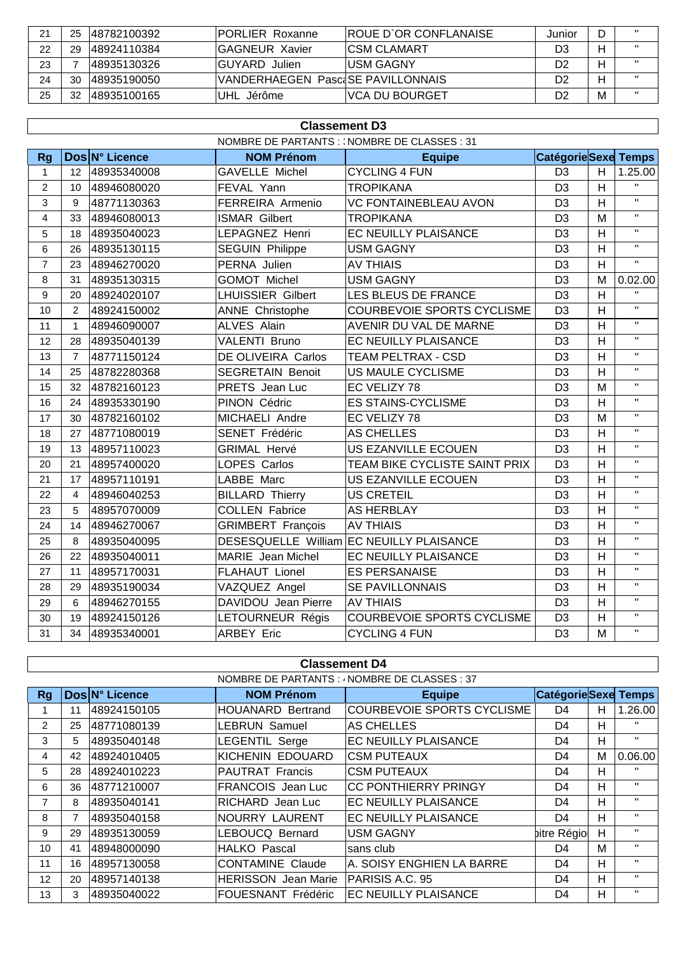| $\mathcal{D}$ |    | 25 48782100392 | <b>IPORLIER Roxanne</b>           | IROUE D`OR CONFLANAISE | Junior | D | $\mathbf{H}$      |
|---------------|----|----------------|-----------------------------------|------------------------|--------|---|-------------------|
| 22            | 29 | 48924110384    | <b>IGAGNEUR Xavier</b>            | <b>ICSM CLAMART</b>    | D3     | н |                   |
| 23            |    | 48935130326    | <b>GUYARD</b> Julien              | IUSM GAGNY             | D2     | Н | $\mathbf{H}$      |
| 24            | 30 | 148935190050   | VANDERHAEGEN PasciSE PAVILLONNAIS |                        | D2     | н | $^{\prime\prime}$ |
| 25            | 32 | 48935100165    | UHL Jérôme                        | IVCA DU BOURGET        | D2     | M | $^{\prime\prime}$ |

| NOMBRE DE PARTANTS : (NOMBRE DE CLASSES : 31<br>Dos N° Licence<br>CatégorieSexe Temps<br><b>NOM Prénom</b><br><b>Rg</b><br><b>Equipe</b><br><b>CYCLING 4 FUN</b><br><b>GAVELLE Michel</b><br>D <sub>3</sub><br>H<br>12<br>48935340008<br>$\mathbf{1}$<br>D <sub>3</sub><br>H<br>$\overline{c}$<br><b>TROPIKANA</b><br>48946080020<br>FEVAL Yann<br>10<br>FERREIRA Armenio<br><b>VC FONTAINEBLEAU AVON</b><br>D <sub>3</sub><br>H<br>3<br>9<br>48771130363<br>D <sub>3</sub><br>M<br>$\overline{\mathbf{4}}$<br><b>TROPIKANA</b><br>33<br>48946080013<br><b>ISMAR Gilbert</b><br>EC NEUILLY PLAISANCE<br>D <sub>3</sub><br>H<br>5<br>LEPAGNEZ Henri<br>48935040023<br>18<br>H<br>D <sub>3</sub><br>6<br>48935130115<br><b>SEGUIN Philippe</b><br><b>USM GAGNY</b><br>26 | 1.25.00<br>$\mathbf{H}$<br>$\mathbf{H}$<br>$\mathbf{H}$<br>$\mathbf{H}$<br>$\mathbf{H}$<br>H.<br>0.02.00 |
|------------------------------------------------------------------------------------------------------------------------------------------------------------------------------------------------------------------------------------------------------------------------------------------------------------------------------------------------------------------------------------------------------------------------------------------------------------------------------------------------------------------------------------------------------------------------------------------------------------------------------------------------------------------------------------------------------------------------------------------------------------------------|----------------------------------------------------------------------------------------------------------|
|                                                                                                                                                                                                                                                                                                                                                                                                                                                                                                                                                                                                                                                                                                                                                                        |                                                                                                          |
|                                                                                                                                                                                                                                                                                                                                                                                                                                                                                                                                                                                                                                                                                                                                                                        |                                                                                                          |
|                                                                                                                                                                                                                                                                                                                                                                                                                                                                                                                                                                                                                                                                                                                                                                        |                                                                                                          |
|                                                                                                                                                                                                                                                                                                                                                                                                                                                                                                                                                                                                                                                                                                                                                                        |                                                                                                          |
|                                                                                                                                                                                                                                                                                                                                                                                                                                                                                                                                                                                                                                                                                                                                                                        |                                                                                                          |
|                                                                                                                                                                                                                                                                                                                                                                                                                                                                                                                                                                                                                                                                                                                                                                        |                                                                                                          |
|                                                                                                                                                                                                                                                                                                                                                                                                                                                                                                                                                                                                                                                                                                                                                                        |                                                                                                          |
|                                                                                                                                                                                                                                                                                                                                                                                                                                                                                                                                                                                                                                                                                                                                                                        |                                                                                                          |
| $\overline{7}$<br>PERNA Julien<br><b>AV THIAIS</b><br>D <sub>3</sub><br>H<br>48946270020<br>23                                                                                                                                                                                                                                                                                                                                                                                                                                                                                                                                                                                                                                                                         |                                                                                                          |
| D <sub>3</sub><br>M<br><b>GOMOT Michel</b><br><b>USM GAGNY</b><br>8<br>31<br>48935130315                                                                                                                                                                                                                                                                                                                                                                                                                                                                                                                                                                                                                                                                               |                                                                                                          |
| D <sub>3</sub><br>$\overline{\mathsf{H}}$<br>9<br><b>LHUISSIER Gilbert</b><br>LES BLEUS DE FRANCE<br>20<br>48924020107                                                                                                                                                                                                                                                                                                                                                                                                                                                                                                                                                                                                                                                 | H.                                                                                                       |
| D <sub>3</sub><br>H<br>10<br><b>ANNE Christophe</b><br><b>COURBEVOIE SPORTS CYCLISME</b><br>2<br>48924150002                                                                                                                                                                                                                                                                                                                                                                                                                                                                                                                                                                                                                                                           | $\mathbf{H}$                                                                                             |
| D <sub>3</sub><br>H<br>11<br><b>ALVES Alain</b><br>$\mathbf{1}$<br>48946090007<br>AVENIR DU VAL DE MARNE                                                                                                                                                                                                                                                                                                                                                                                                                                                                                                                                                                                                                                                               | $\mathbf{H}$                                                                                             |
| H<br><b>VALENTI Bruno</b><br>D <sub>3</sub><br>EC NEUILLY PLAISANCE<br>12<br>48935040139<br>28                                                                                                                                                                                                                                                                                                                                                                                                                                                                                                                                                                                                                                                                         | H.                                                                                                       |
| D <sub>3</sub><br>H<br>13<br>$\overline{7}$<br>DE OLIVEIRA Carlos<br><b>TEAM PELTRAX - CSD</b><br>48771150124                                                                                                                                                                                                                                                                                                                                                                                                                                                                                                                                                                                                                                                          | H.                                                                                                       |
| H<br>D <sub>3</sub><br>14<br><b>SEGRETAIN Benoit</b><br><b>US MAULE CYCLISME</b><br>25<br>48782280368                                                                                                                                                                                                                                                                                                                                                                                                                                                                                                                                                                                                                                                                  | $\mathbf{H}$                                                                                             |
| M<br>15<br>PRETS Jean Luc<br>EC VELIZY 78<br>D <sub>3</sub><br>32<br>48782160123                                                                                                                                                                                                                                                                                                                                                                                                                                                                                                                                                                                                                                                                                       | $\mathbf{H}$                                                                                             |
| 16<br>PINON Cédric<br><b>ES STAINS-CYCLISME</b><br>D <sub>3</sub><br>H<br>48935330190<br>24                                                                                                                                                                                                                                                                                                                                                                                                                                                                                                                                                                                                                                                                            | H.                                                                                                       |
| D <sub>3</sub><br>17<br>48782160102<br><b>MICHAELI Andre</b><br>EC VELIZY 78<br>M<br>30                                                                                                                                                                                                                                                                                                                                                                                                                                                                                                                                                                                                                                                                                | Π.                                                                                                       |
| 48771080019<br>SENET Frédéric<br><b>AS CHELLES</b><br>D <sub>3</sub><br>H<br>18<br>27                                                                                                                                                                                                                                                                                                                                                                                                                                                                                                                                                                                                                                                                                  | H.                                                                                                       |
| US EZANVILLE ECOUEN<br>D <sub>3</sub><br>H<br>19<br>13<br>48957110023<br><b>GRIMAL Hervé</b>                                                                                                                                                                                                                                                                                                                                                                                                                                                                                                                                                                                                                                                                           | H.                                                                                                       |
| H<br>LOPES Carlos<br>D <sub>3</sub><br>20<br>21<br>48957400020<br>TEAM BIKE CYCLISTE SAINT PRIX                                                                                                                                                                                                                                                                                                                                                                                                                                                                                                                                                                                                                                                                        | $\mathbf{H}$                                                                                             |
| H<br>21<br>LABBE Marc<br><b>US EZANVILLE ECOUEN</b><br>D <sub>3</sub><br>17<br>48957110191                                                                                                                                                                                                                                                                                                                                                                                                                                                                                                                                                                                                                                                                             | $\mathbf{H}$                                                                                             |
| <b>US CRETEIL</b><br>H<br>22<br><b>BILLARD Thierry</b><br>D <sub>3</sub><br>4<br>48946040253                                                                                                                                                                                                                                                                                                                                                                                                                                                                                                                                                                                                                                                                           | $\mathbf{H}$                                                                                             |
| <b>COLLEN Fabrice</b><br>D <sub>3</sub><br>H<br>23<br>5<br>48957070009<br><b>AS HERBLAY</b>                                                                                                                                                                                                                                                                                                                                                                                                                                                                                                                                                                                                                                                                            | H.                                                                                                       |
| D <sub>3</sub><br>H<br><b>GRIMBERT François</b><br><b>AV THIAIS</b><br>24<br>48946270067<br>14                                                                                                                                                                                                                                                                                                                                                                                                                                                                                                                                                                                                                                                                         | H.                                                                                                       |
| DESESQUELLE William<br><b>EC NEUILLY PLAISANCE</b><br>D <sub>3</sub><br>H<br>25<br>8<br>48935040095                                                                                                                                                                                                                                                                                                                                                                                                                                                                                                                                                                                                                                                                    | $\mathbf{H}$                                                                                             |
| $\overline{H}$<br>26<br>22<br>48935040011<br>MARIE Jean Michel<br>EC NEUILLY PLAISANCE<br>D <sub>3</sub>                                                                                                                                                                                                                                                                                                                                                                                                                                                                                                                                                                                                                                                               | $\mathbf{H}$                                                                                             |
| D <sub>3</sub><br>H<br>27<br><b>FLAHAUT Lionel</b><br><b>ES PERSANAISE</b><br>11<br>48957170031                                                                                                                                                                                                                                                                                                                                                                                                                                                                                                                                                                                                                                                                        | H.                                                                                                       |
| D <sub>3</sub><br>H<br>VAZQUEZ Angel<br><b>SE PAVILLONNAIS</b><br>28<br>48935190034<br>29                                                                                                                                                                                                                                                                                                                                                                                                                                                                                                                                                                                                                                                                              | H.                                                                                                       |
| DAVIDOU Jean Pierre<br>H<br><b>AV THIAIS</b><br>D <sub>3</sub><br>48946270155<br>29<br>6                                                                                                                                                                                                                                                                                                                                                                                                                                                                                                                                                                                                                                                                               | H.                                                                                                       |
| H<br>LETOURNEUR Régis<br><b>COURBEVOIE SPORTS CYCLISME</b><br>D <sub>3</sub><br>30<br>48924150126<br>19                                                                                                                                                                                                                                                                                                                                                                                                                                                                                                                                                                                                                                                                | H.                                                                                                       |
| M<br>D <sub>3</sub><br>31<br>34<br>48935340001<br><b>ARBEY Eric</b><br><b>CYCLING 4 FUN</b>                                                                                                                                                                                                                                                                                                                                                                                                                                                                                                                                                                                                                                                                            | $\mathbf{H}$                                                                                             |

| <b>Classement D4</b>                          |    |                |                            |                             |                            |   |              |  |
|-----------------------------------------------|----|----------------|----------------------------|-----------------------------|----------------------------|---|--------------|--|
| NOMBRE DE PARTANTS : ^ NOMBRE DE CLASSES : 37 |    |                |                            |                             |                            |   |              |  |
| <b>Rg</b>                                     |    | Dos N° Licence | <b>NOM Prénom</b>          | <b>Equipe</b>               | <b>CatégorieSexe Temps</b> |   |              |  |
|                                               | 11 | 48924150105    | <b>HOUANARD Bertrand</b>   | COURBEVOIE SPORTS CYCLISME  | D <sub>4</sub>             | н | 1.26.00      |  |
| $\overline{2}$                                | 25 | 48771080139    | <b>LEBRUN Samuel</b>       | <b>AS CHELLES</b>           | D4                         | н | $\mathbf{H}$ |  |
| 3                                             | 5  | 48935040148    | <b>LEGENTIL Serge</b>      | EC NEUILLY PLAISANCE        | D <sub>4</sub>             | Н | $\mathbf{H}$ |  |
| 4                                             | 42 | 48924010405    | KICHENIN EDOUARD           | <b>CSM PUTEAUX</b>          | D4                         | М | 0.06.00      |  |
| 5                                             | 28 | 48924010223    | <b>PAUTRAT Francis</b>     | <b>CSM PUTEAUX</b>          | D4                         | н | $\mathbf{H}$ |  |
| 6                                             | 36 | 48771210007    | FRANCOIS Jean Luc          | <b>CC PONTHIERRY PRINGY</b> | D <sub>4</sub>             | Н | $\mathbf{H}$ |  |
| 7                                             | 8  | 48935040141    | RICHARD Jean Luc           | <b>EC NEUILLY PLAISANCE</b> | D <sub>4</sub>             | H | $\mathbf{H}$ |  |
| 8                                             |    | 48935040158    | NOURRY LAURENT             | <b>EC NEUILLY PLAISANCE</b> | D4                         | Н | $\mathbf{H}$ |  |
| 9                                             | 29 | 48935130059    | LEBOUCQ Bernard            | <b>USM GAGNY</b>            | bitre Régio                | H | $\mathbf{H}$ |  |
| 10                                            | 41 | 48948000090    | <b>HALKO Pascal</b>        | sans club                   | D <sub>4</sub>             | М | $\mathbf{H}$ |  |
| 11                                            | 16 | 48957130058    | <b>CONTAMINE Claude</b>    | A. SOISY ENGHIEN LA BARRE   | D4                         | Н | $\mathbf{H}$ |  |
| 12                                            | 20 | 48957140138    | <b>HERISSON</b> Jean Marie | PARISIS A.C. 95             | D4                         | Н | $\mathbf{H}$ |  |
| 13                                            | 3  | 48935040022    | FOUESNANT Frédéric         | <b>EC NEUILLY PLAISANCE</b> | D <sub>4</sub>             | Н | $\mathbf{H}$ |  |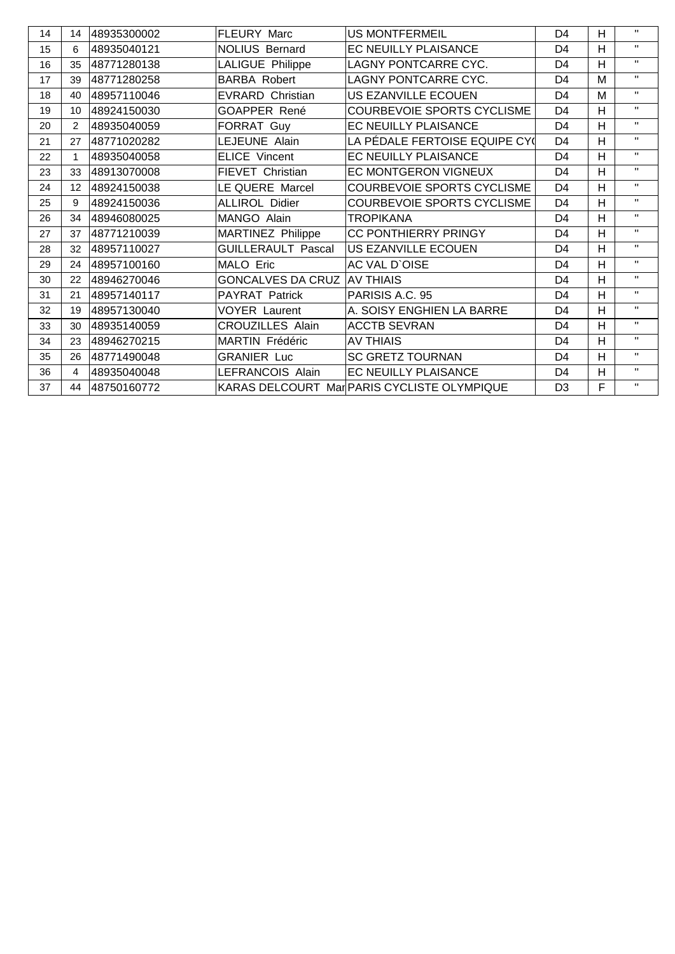| 14 | 14                | 48935300002 | FLEURY Marc                        | <b>US MONTFERMEIL</b>                       | D <sub>4</sub> | H | $\mathbf{H}$ |
|----|-------------------|-------------|------------------------------------|---------------------------------------------|----------------|---|--------------|
| 15 | 6                 | 48935040121 | <b>NOLIUS Bernard</b>              | EC NEUILLY PLAISANCE                        | D <sub>4</sub> | H | $\mathbf{H}$ |
| 16 | 35                | 48771280138 | LALIGUE Philippe                   | LAGNY PONTCARRE CYC.                        | D <sub>4</sub> | H | $\mathbf{H}$ |
| 17 | 39                | 48771280258 | <b>BARBA Robert</b>                | <b>LAGNY PONTCARRE CYC.</b>                 | D <sub>4</sub> | M | $\mathbf{H}$ |
| 18 | 40                | 48957110046 | <b>EVRARD Christian</b>            | <b>US EZANVILLE ECOUEN</b>                  | D <sub>4</sub> | M | $\mathbf{H}$ |
| 19 | 10                | 48924150030 | GOAPPER René                       | COURBEVOIE SPORTS CYCLISME                  | D <sub>4</sub> | H | $\mathbf{H}$ |
| 20 | 2                 | 48935040059 | FORRAT Guy                         | EC NEUILLY PLAISANCE                        | D <sub>4</sub> | H | $\mathbf{H}$ |
| 21 | 27                | 48771020282 | LEJEUNE Alain                      | LA PÉDALE FERTOISE EQUIPE CY(               | D <sub>4</sub> | H | $\mathbf{H}$ |
| 22 | 1                 | 48935040058 | <b>ELICE Vincent</b>               | EC NEUILLY PLAISANCE                        | D <sub>4</sub> | H | $\mathbf{H}$ |
| 23 | 33                | 48913070008 | FIEVET Christian                   | EC MONTGERON VIGNEUX                        | D <sub>4</sub> | H | $\mathbf{H}$ |
| 24 | $12 \overline{ }$ | 48924150038 | LE QUERE Marcel                    | <b>COURBEVOIE SPORTS CYCLISME</b>           | D <sub>4</sub> | H | $\mathbf{H}$ |
| 25 | 9                 | 48924150036 | <b>ALLIROL Didier</b>              | COURBEVOIE SPORTS CYCLISME                  | D <sub>4</sub> | H | $\mathbf{H}$ |
| 26 | 34                | 48946080025 | MANGO Alain                        | <b>TROPIKANA</b>                            | D4             | H | $\mathbf{H}$ |
| 27 | 37                | 48771210039 | <b>MARTINEZ Philippe</b>           | CC PONTHIERRY PRINGY                        | D <sub>4</sub> | H | $\mathbf{H}$ |
| 28 | 32                | 48957110027 | <b>GUILLERAULT Pascal</b>          | US EZANVILLE ECOUEN                         | D <sub>4</sub> | H | $\mathbf{H}$ |
| 29 | 24                | 48957100160 | MALO Eric                          | AC VAL D'OISE                               | D <sub>4</sub> | H | $\mathbf{H}$ |
| 30 | 22                | 48946270046 | <b>GONCALVES DA CRUZ AV THIAIS</b> |                                             | D <sub>4</sub> | H | $\mathbf{H}$ |
| 31 | 21                | 48957140117 | PAYRAT Patrick                     | PARISIS A.C. 95                             | D <sub>4</sub> | H | $\mathbf{H}$ |
| 32 | 19                | 48957130040 | <b>VOYER Laurent</b>               | A. SOISY ENGHIEN LA BARRE                   | D <sub>4</sub> | H | $\mathbf{H}$ |
| 33 | 30                | 48935140059 | <b>CROUZILLES Alain</b>            | <b>ACCTB SEVRAN</b>                         | D <sub>4</sub> | H | $\mathbf{H}$ |
| 34 | 23                | 48946270215 | MARTIN Frédéric                    | <b>AV THIAIS</b>                            | D <sub>4</sub> | H | $\mathbf{H}$ |
| 35 | 26                | 48771490048 | <b>GRANIER Luc</b>                 | <b>SC GRETZ TOURNAN</b>                     | D <sub>4</sub> | H | $\mathbf{H}$ |
| 36 | 4                 | 48935040048 | LEFRANCOIS Alain                   | EC NEUILLY PLAISANCE                        | D4             | H | $\mathbf{H}$ |
| 37 | 44                | 48750160772 |                                    | KARAS DELCOURT Mar PARIS CYCLISTE OLYMPIQUE | D <sub>3</sub> | F | $\mathbf{H}$ |